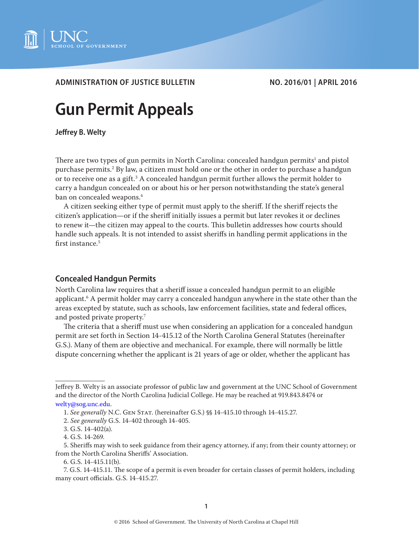

# **ADMINISTRATION OF JUSTICE BULLETIN NO. 2016/01 | APRIL 2016**

# **Gun Permit Appeals**

**Jeffrey B. Welty**

There are two types of gun permits in North Carolina: concealed handgun permits $^{\rm l}$  and pistol purchase permits.<sup>2</sup> By law, a citizen must hold one or the other in order to purchase a handgun or to receive one as a gift. $^3$  A concealed handgun permit further allows the permit holder to carry a handgun concealed on or about his or her person notwithstanding the state's general ban on concealed weapons.<sup>4</sup>

A citizen seeking either type of permit must apply to the sheriff. If the sheriff rejects the citizen's application—or if the sheriff initially issues a permit but later revokes it or declines to renew it—the citizen may appeal to the courts. This bulletin addresses how courts should handle such appeals. It is not intended to assist sheriffs in handling permit applications in the first instance.<sup>5</sup>

## **Concealed Handgun Permits**

North Carolina law requires that a sheriff issue a concealed handgun permit to an eligible applicant.6 A permit holder may carry a concealed handgun anywhere in the state other than the areas excepted by statute, such as schools, law enforcement facilities, state and federal offices, and posted private property.7

The criteria that a sheriff must use when considering an application for a concealed handgun permit are set forth in Section 14-415.12 of the North Carolina General Statutes (hereinafter G.S.). Many of them are objective and mechanical. For example, there will normally be little dispute concerning whether the applicant is 21 years of age or older, whether the applicant has

Jeffrey B. Welty is an associate professor of public law and government at the UNC School of Government and the director of the North Carolina Judicial College. He may be reached at 919.843.8474 or [welty@sog.unc.edu](mailto:welty%40sog.unc.edu?subject=).

<sup>1.</sup> *See generally* N.C. Gen Stat. (hereinafter G.S.) §§ 14-415.10 through 14-415.27.

<sup>2.</sup> *See generally* G.S. 14-402 through 14-405.

<sup>3.</sup> G.S. 14-402(a).

<sup>4.</sup> G.S. 14-269.

<sup>5.</sup> Sheriffs may wish to seek guidance from their agency attorney, if any; from their county attorney; or from the North Carolina Sheriffs' Association.

<sup>6.</sup> G.S. 14-415.11(b).

<sup>7.</sup> G.S. 14-415.11. The scope of a permit is even broader for certain classes of permit holders, including many court officials. G.S. 14-415.27.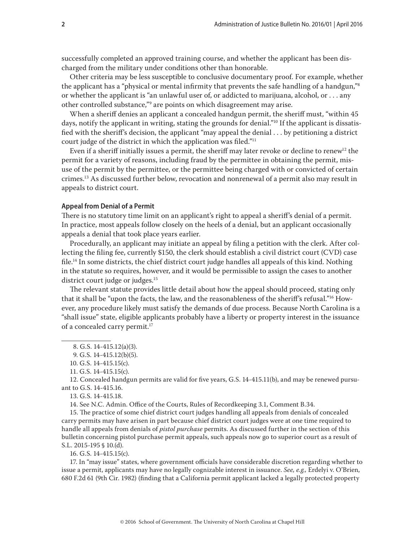successfully completed an approved training course, and whether the applicant has been discharged from the military under conditions other than honorable.

Other criteria may be less susceptible to conclusive documentary proof. For example, whether the applicant has a "physical or mental infirmity that prevents the safe handling of a handgun,"8 or whether the applicant is "an unlawful user of, or addicted to marijuana, alcohol, or . . . any other controlled substance,"9 are points on which disagreement may arise.

When a sheriff denies an applicant a concealed handgun permit, the sheriff must, "within 45 days, notify the applicant in writing, stating the grounds for denial."<sup>10</sup> If the applicant is dissatisfied with the sheriff's decision, the applicant "may appeal the denial . . . by petitioning a district court judge of the district in which the application was filed."<sup>11</sup>

Even if a sheriff initially issues a permit, the sheriff may later revoke or decline to renew<sup>12</sup> the permit for a variety of reasons, including fraud by the permittee in obtaining the permit, misuse of the permit by the permittee, or the permittee being charged with or convicted of certain crimes.13 As discussed further below, revocation and nonrenewal of a permit also may result in appeals to district court.

## **Appeal from Denial of a Permit**

There is no statutory time limit on an applicant's right to appeal a sheriff's denial of a permit. In practice, most appeals follow closely on the heels of a denial, but an applicant occasionally appeals a denial that took place years earlier.

Procedurally, an applicant may initiate an appeal by filing a petition with the clerk. After collecting the filing fee, currently \$150, the clerk should establish a civil district court (CVD) case file.14 In some districts, the chief district court judge handles all appeals of this kind. Nothing in the statute so requires, however, and it would be permissible to assign the cases to another district court judge or judges.<sup>15</sup>

The relevant statute provides little detail about how the appeal should proceed, stating only that it shall be "upon the facts, the law, and the reasonableness of the sheriff's refusal."16 However, any procedure likely must satisfy the demands of due process. Because North Carolina is a "shall issue" state, eligible applicants probably have a liberty or property interest in the issuance of a concealed carry permit.17

12. Concealed handgun permits are valid for five years, G.S. 14-415.11(b), and may be renewed pursuant to G.S. 14-415.16.

13. G.S. 14-415.18.

14. See N.C. Admin. Office of the Courts, Rules of Recordkeeping 3.1, Comment B.34.

15. The practice of some chief district court judges handling all appeals from denials of concealed carry permits may have arisen in part because chief district court judges were at one time required to handle all appeals from denials of *pistol purchase* permits. As discussed further in the section of this bulletin concerning pistol purchase permit appeals, such appeals now go to superior court as a result of S.L. 2015-195 § 10.(d).

16. G.S. 14-415.15(c).

17. In "may issue" states, where government officials have considerable discretion regarding whether to issue a permit, applicants may have no legally cognizable interest in issuance. *See, e.g.,* Erdelyi v. O'Brien, 680 F.2d 61 (9th Cir. 1982) (finding that a California permit applicant lacked a legally protected property

<sup>8.</sup> G.S. 14-415.12(a)(3).

<sup>9.</sup> G.S. 14-415.12(b)(5).

<sup>10.</sup> G.S. 14-415.15(c).

<sup>11.</sup> G.S. 14-415.15(c).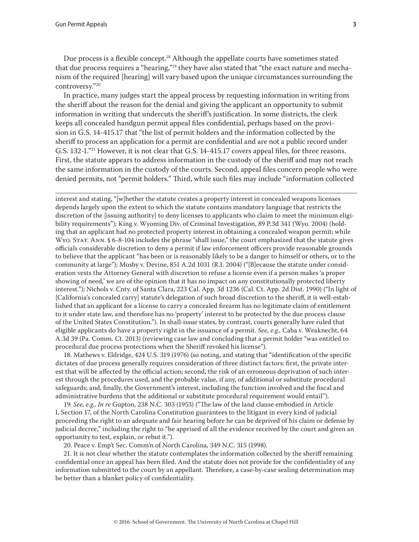Gun Permit Appeals **3**

Due process is a flexible concept.<sup>18</sup> Although the appellate courts have sometimes stated that due process requires a "hearing,"<sup>19</sup> they have also stated that "the exact nature and mechanism of the required [hearing] will vary based upon the unique circumstances surrounding the controversy."20

In practice, many judges start the appeal process by requesting information in writing from the sheriff about the reason for the denial and giving the applicant an opportunity to submit information in writing that undercuts the sheriff's justification. In some districts, the clerk keeps all concealed handgun permit appeal files confidential, perhaps based on the provision in G.S. 14-415.17 that "the list of permit holders and the information collected by the sheriff to process an application for a permit are confidential and are not a public record under G.S. 132-1."<sup>21</sup> However, it is not clear that G.S. 14-415.17 covers appeal files, for three reasons. First, the statute appears to address information in the custody of the sheriff and may not reach the same information in the custody of the courts. Second, appeal files concern people who were denied permits, not "permit holders." Third, while such files may include "information collected

interest and stating, "[w]hether the statute creates a property interest in concealed weapons licenses depends largely upon the extent to which the statute contains mandatory language that restricts the discretion of the [issuing authority] to deny licenses to applicants who claim to meet the minimum eligibility requirements"); King v. Wyoming Div. of Criminal Investigation, 89 P.3d 341 (Wyo. 2004) (holding that an applicant had no protected property interest in obtaining a concealed weapon permit; while Wyo. Stat. Ann. § 6-8-104 includes the phrase "shall issue," the court emphasized that the statute gives officials considerable discretion to deny a permit if law enforcement officers provide reasonable grounds to believe that the applicant "has been or is reasonably likely to be a danger to himself or others, or to the community at large"); Mosby v. Devine, 851 A.2d 1031 (R.I. 2004) ("[B]ecause the statute under consideration vests the Attorney General with discretion to refuse a license even if a person makes 'a proper showing of need,' we are of the opinion that it has no impact on any constitutionally protected liberty interest."); Nichols v. Cnty. of Santa Clara, 223 Cal. App. 3d 1236 (Cal. Ct. App. 2d Dist. 1990) ("In light of [California's concealed carry] statute's delegation of such broad discretion to the sheriff, it is well-established that an applicant for a license to carry a concealed firearm has no legitimate claim of entitlement to it under state law, and therefore has no 'property' interest to be protected by the due process clause of the United States Constitution."). In shall-issue states, by contrast, courts generally have ruled that eligible applicants do have a property right in the issuance of a permit. *See, e.g.,* Caba v. Weaknecht, 64 A.3d 39 (Pa. Comm. Ct. 2013) (reviewing case law and concluding that a permit holder "was entitled to procedural due process protections when the Sheriff revoked his license").

18. Mathews v. Eldridge, 424 U.S. 319 (1976) (so noting, and stating that "identification of the specific dictates of due process generally requires consideration of three distinct factors: first, the private interest that will be affected by the official action; second, the risk of an erroneous deprivation of such interest through the procedures used, and the probable value, if any, of additional or substitute procedural safeguards; and, finally, the Government's interest, including the function involved and the fiscal and administrative burdens that the additional or substitute procedural requirement would entail").

19. *See, e.g., In re* Gupton, 238 N.C. 303 (1953) ("The law of the land clause embodied in Article I, Section 17, of the North Carolina Constitution guarantees to the litigant in every kind of judicial proceeding the right to an adequate and fair hearing before he can be deprived of his claim or defense by judicial decree," including the right to "be apprised of all the evidence received by the court and given an opportunity to test, explain, or rebut it.").

20. Peace v. Emp't Sec. Comm'n of North Carolina, 349 N.C. 315 (1998).

21. It is not clear whether the statute contemplates the information collected by the sheriff remaining confidential once an appeal has been filed. And the statute does not provide for the confidentiality of any information submitted to the court by an appellant. Therefore, a case-by-case sealing determination may be better than a blanket policy of confidentiality.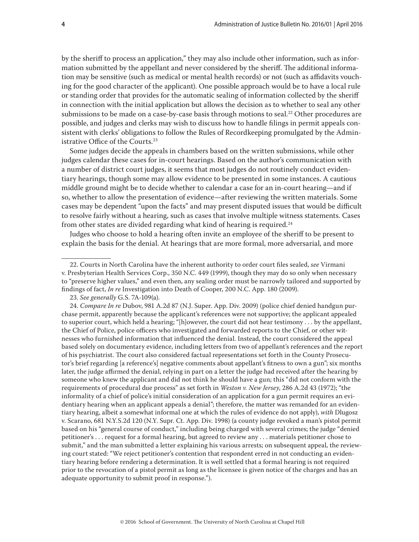by the sheriff to process an application," they may also include other information, such as information submitted by the appellant and never considered by the sheriff. The additional information may be sensitive (such as medical or mental health records) or not (such as affidavits vouching for the good character of the applicant). One possible approach would be to have a local rule or standing order that provides for the automatic sealing of information collected by the sheriff in connection with the initial application but allows the decision as to whether to seal any other submissions to be made on a case-by-case basis through motions to seal.<sup>22</sup> Other procedures are possible, and judges and clerks may wish to discuss how to handle filings in permit appeals consistent with clerks' obligations to follow the Rules of Recordkeeping promulgated by the Administrative Office of the Courts.<sup>23</sup>

Some judges decide the appeals in chambers based on the written submissions, while other judges calendar these cases for in-court hearings. Based on the author's communication with a number of district court judges, it seems that most judges do not routinely conduct evidentiary hearings, though some may allow evidence to be presented in some instances. A cautious middle ground might be to decide whether to calendar a case for an in-court hearing—and if so, whether to allow the presentation of evidence—after reviewing the written materials. Some cases may be dependent "upon the facts" and may present disputed issues that would be difficult to resolve fairly without a hearing, such as cases that involve multiple witness statements. Cases from other states are divided regarding what kind of hearing is required. $24$ 

Judges who choose to hold a hearing often invite an employee of the sheriff to be present to explain the basis for the denial. At hearings that are more formal, more adversarial, and more

<sup>22.</sup> Courts in North Carolina have the inherent authority to order court files sealed, *see* Virmani v. Presbyterian Health Services Corp., 350 N.C. 449 (1999), though they may do so only when necessary to "preserve higher values," and even then, any sealing order must be narrowly tailored and supported by findings of fact, *In re* Investigation into Death of Cooper, 200 N.C. App. 180 (2009).

<sup>23.</sup> *See generally* G.S. 7A-109(a).

<sup>24.</sup> *Compare In re* Dubov, 981 A.2d 87 (N.J. Super. App. Div. 2009) (police chief denied handgun purchase permit, apparently because the applicant's references were not supportive; the applicant appealed to superior court, which held a hearing; "[h]owever, the court did not hear testimony . . . by the appellant, the Chief of Police, police officers who investigated and forwarded reports to the Chief, or other witnesses who furnished information that influenced the denial. Instead, the court considered the appeal based solely on documentary evidence, including letters from two of appellant's references and the report of his psychiatrist. The court also considered factual representations set forth in the County Prosecutor's brief regarding [a reference's] negative comments about appellant's fitness to own a gun"; six months later, the judge affirmed the denial, relying in part on a letter the judge had received after the hearing by someone who knew the applicant and did not think he should have a gun; this "did not conform with the requirements of procedural due process" as set forth in *Weston v. New Jersey*, 286 A.2d 43 (1972); "the informality of a chief of police's initial consideration of an application for a gun permit requires an evidentiary hearing when an applicant appeals a denial"; therefore, the matter was remanded for an evidentiary hearing, albeit a somewhat informal one at which the rules of evidence do not apply), *with* Dlugosz v. Scarano, 681 N.Y.S.2d 120 (N.Y. Supr. Ct. App. Div. 1998) (a county judge revoked a man's pistol permit based on his "general course of conduct," including being charged with several crimes; the judge "denied petitioner's . . . request for a formal hearing, but agreed to review any . . . materials petitioner chose to submit," and the man submitted a letter explaining his various arrests; on subsequent appeal, the reviewing court stated: "We reject petitioner's contention that respondent erred in not conducting an evidentiary hearing before rendering a determination. It is well settled that a formal hearing is not required prior to the revocation of a pistol permit as long as the licensee is given notice of the charges and has an adequate opportunity to submit proof in response.").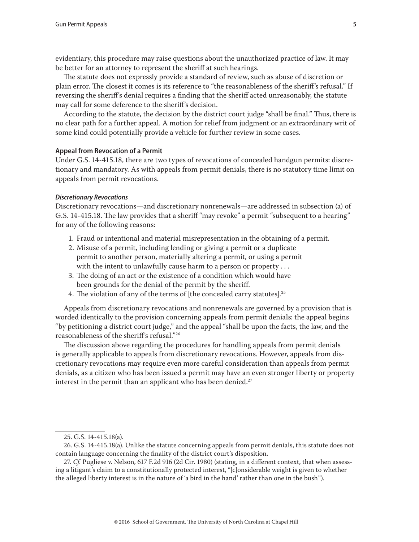evidentiary, this procedure may raise questions about the unauthorized practice of law. It may be better for an attorney to represent the sheriff at such hearings.

The statute does not expressly provide a standard of review, such as abuse of discretion or plain error. The closest it comes is its reference to "the reasonableness of the sheriff's refusal." If reversing the sheriff's denial requires a finding that the sheriff acted unreasonably, the statute may call for some deference to the sheriff's decision.

According to the statute, the decision by the district court judge "shall be final." Thus, there is no clear path for a further appeal. A motion for relief from judgment or an extraordinary writ of some kind could potentially provide a vehicle for further review in some cases.

## **Appeal from Revocation of a Permit**

Under G.S. 14-415.18, there are two types of revocations of concealed handgun permits: discretionary and mandatory. As with appeals from permit denials, there is no statutory time limit on appeals from permit revocations.

#### *Discretionary Revocations*

Discretionary revocations—and discretionary nonrenewals—are addressed in subsection (a) of G.S. 14-415.18. The law provides that a sheriff "may revoke" a permit "subsequent to a hearing" for any of the following reasons:

- 1. Fraud or intentional and material misrepresentation in the obtaining of a permit.
- 2. Misuse of a permit, including lending or giving a permit or a duplicate permit to another person, materially altering a permit, or using a permit with the intent to unlawfully cause harm to a person or property ...
- 3. The doing of an act or the existence of a condition which would have been grounds for the denial of the permit by the sheriff.
- 4. The violation of any of the terms of [the concealed carry statutes].<sup>25</sup>

Appeals from discretionary revocations and nonrenewals are governed by a provision that is worded identically to the provision concerning appeals from permit denials: the appeal begins "by petitioning a district court judge," and the appeal "shall be upon the facts, the law, and the reasonableness of the sheriff's refusal."26

The discussion above regarding the procedures for handling appeals from permit denials is generally applicable to appeals from discretionary revocations. However, appeals from discretionary revocations may require even more careful consideration than appeals from permit denials, as a citizen who has been issued a permit may have an even stronger liberty or property interest in the permit than an applicant who has been denied. $27$ 

<sup>25.</sup> G.S. 14-415.18(a).

<sup>26.</sup> G.S. 14-415.18(a). Unlike the statute concerning appeals from permit denials, this statute does not contain language concerning the finality of the district court's disposition.

<sup>27.</sup> *Cf.* Pugliese v. Nelson, 617 F.2d 916 (2d Cir. 1980) (stating, in a different context, that when assessing a litigant's claim to a constitutionally protected interest, "[c]onsiderable weight is given to whether the alleged liberty interest is in the nature of 'a bird in the hand' rather than one in the bush").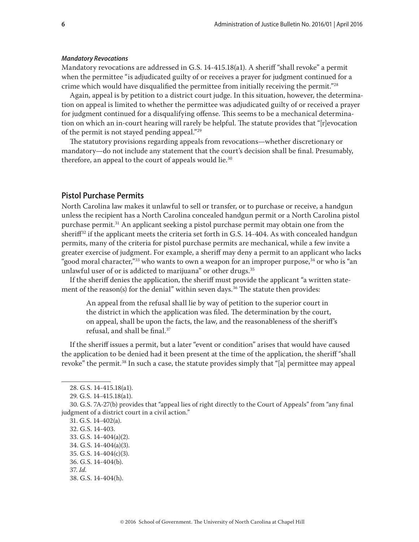#### *Mandatory Revocations*

Mandatory revocations are addressed in G.S. 14-415.18(a1). A sheriff "shall revoke" a permit when the permittee "is adjudicated guilty of or receives a prayer for judgment continued for a crime which would have disqualified the permittee from initially receiving the permit."28

Again, appeal is by petition to a district court judge. In this situation, however, the determination on appeal is limited to whether the permittee was adjudicated guilty of or received a prayer for judgment continued for a disqualifying offense. This seems to be a mechanical determination on which an in-court hearing will rarely be helpful. The statute provides that "[r]evocation of the permit is not stayed pending appeal."29

The statutory provisions regarding appeals from revocations—whether discretionary or mandatory—do not include any statement that the court's decision shall be final. Presumably, therefore, an appeal to the court of appeals would lie.<sup>30</sup>

# **Pistol Purchase Permits**

North Carolina law makes it unlawful to sell or transfer, or to purchase or receive, a handgun unless the recipient has a North Carolina concealed handgun permit or a North Carolina pistol purchase permit.<sup>31</sup> An applicant seeking a pistol purchase permit may obtain one from the sherif<sup>32</sup> if the applicant meets the criteria set forth in G.S.  $14-404$ . As with concealed handgun permits, many of the criteria for pistol purchase permits are mechanical, while a few invite a greater exercise of judgment. For example, a sheriff may deny a permit to an applicant who lacks "good moral character,"<sup>33</sup> who wants to own a weapon for an improper purpose, $34$  or who is "an" unlawful user of or is addicted to marijuana" or other drugs.<sup>35</sup>

If the sheriff denies the application, the sheriff must provide the applicant "a written statement of the reason(s) for the denial" within seven days.<sup>36</sup> The statute then provides:

An appeal from the refusal shall lie by way of petition to the superior court in the district in which the application was filed. The determination by the court, on appeal, shall be upon the facts, the law, and the reasonableness of the sheriff's refusal, and shall be final.37

If the sheriff issues a permit, but a later "event or condition" arises that would have caused the application to be denied had it been present at the time of the application, the sheriff "shall revoke" the permit.<sup>38</sup> In such a case, the statute provides simply that "[a] permittee may appeal

- 32. G.S. 14-403.
- 33. G.S. 14-404(a)(2).

38. G.S. 14-404(h).

<sup>28.</sup> G.S. 14-415.18(a1).

<sup>29.</sup> G.S. 14-415.18(a1).

<sup>30.</sup> G.S. 7A-27(b) provides that "appeal lies of right directly to the Court of Appeals" from "any final judgment of a district court in a civil action."

<sup>31.</sup> G.S. 14-402(a).

<sup>34.</sup> G.S. 14-404(a)(3).

<sup>35.</sup> G.S. 14-404(c)(3).

<sup>36.</sup> G.S. 14-404(b).

<sup>37.</sup> *Id.*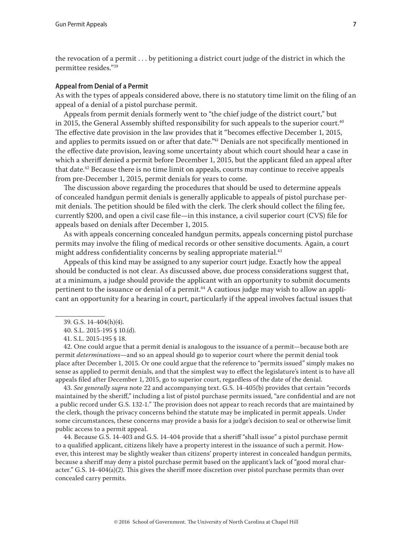the revocation of a permit . . . by petitioning a district court judge of the district in which the permittee resides."39

## **Appeal from Denial of a Permit**

As with the types of appeals considered above, there is no statutory time limit on the filing of an appeal of a denial of a pistol purchase permit.

Appeals from permit denials formerly went to "the chief judge of the district court," but in 2015, the General Assembly shifted responsibility for such appeals to the superior court.<sup>40</sup> The effective date provision in the law provides that it "becomes effective December 1, 2015, and applies to permits issued on or after that date."<sup>41</sup> Denials are not specifically mentioned in the effective date provision, leaving some uncertainty about which court should hear a case in which a sheriff denied a permit before December 1, 2015, but the applicant filed an appeal after that date.<sup>42</sup> Because there is no time limit on appeals, courts may continue to receive appeals from pre-December 1, 2015, permit denials for years to come.

The discussion above regarding the procedures that should be used to determine appeals of concealed handgun permit denials is generally applicable to appeals of pistol purchase permit denials. The petition should be filed with the clerk. The clerk should collect the filing fee, currently \$200, and open a civil case file—in this instance, a civil superior court (CVS) file for appeals based on denials after December 1, 2015.

As with appeals concerning concealed handgun permits, appeals concerning pistol purchase permits may involve the filing of medical records or other sensitive documents. Again, a court might address confidentiality concerns by sealing appropriate material.<sup>43</sup>

Appeals of this kind may be assigned to any superior court judge. Exactly how the appeal should be conducted is not clear. As discussed above, due process considerations suggest that, at a minimum, a judge should provide the applicant with an opportunity to submit documents pertinent to the issuance or denial of a permit.<sup>44</sup> A cautious judge may wish to allow an applicant an opportunity for a hearing in court, particularly if the appeal involves factual issues that

42. One could argue that a permit denial is analogous to the issuance of a permit—because both are permit *determinations*—and so an appeal should go to superior court where the permit denial took place after December 1, 2015. Or one could argue that the reference to "permits issued" simply makes no sense as applied to permit denials, and that the simplest way to effect the legislature's intent is to have all appeals filed after December 1, 2015, go to superior court, regardless of the date of the denial.

43. *See generally supra* note 22 and accompanying text. G.S. 14-405(b) provides that certain "records maintained by the sheriff," including a list of pistol purchase permits issued, "are confidential and are not a public record under G.S. 132-1." The provision does not appear to reach records that are maintained by the clerk, though the privacy concerns behind the statute may be implicated in permit appeals. Under some circumstances, these concerns may provide a basis for a judge's decision to seal or otherwise limit public access to a permit appeal.

44. Because G.S. 14-403 and G.S. 14-404 provide that a sheriff "shall issue" a pistol purchase permit to a qualified applicant, citizens likely have a property interest in the issuance of such a permit. However, this interest may be slightly weaker than citizens' property interest in concealed handgun permits, because a sheriff may deny a pistol purchase permit based on the applicant's lack of "good moral character." G.S. 14-404(a)(2). This gives the sheriff more discretion over pistol purchase permits than over concealed carry permits.

<sup>39.</sup> G.S. 14-404(h)(4).

<sup>40.</sup> S.L. 2015-195 § 10.(d).

<sup>41.</sup> S.L. 2015-195 § 18.